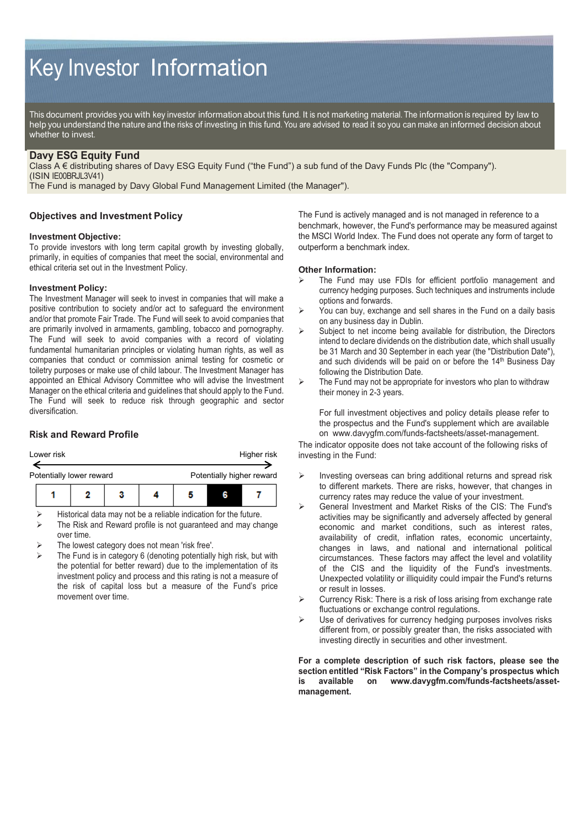# Key Investor Information

This document provides you with key investor information about this fund. It is not marketing material. The information is required by law to help you understand the nature and the risks of investing in this fund. You are advised to read it so you can make an informed decision about whether to invest.

# **Davy ESG Equity Fund**

Class A € distributing shares of Davy ESG Equity Fund ("the Fund") a sub fund of the Davy Funds Plc (the "Company"). (ISIN IE00BRJL3V41)

The Fund is managed by Davy Global Fund Management Limited (the Manager").

## **Objectives and Investment Policy**

#### **Investment Objective:**

To provide investors with long term capital growth by investing globally, primarily, in equities of companies that meet the social, environmental and ethical criteria set out in the Investment Policy.

#### **Investment Policy:**

The Investment Manager will seek to invest in companies that will make a positive contribution to society and/or act to safeguard the environment and/or that promote Fair Trade. The Fund will seek to avoid companies that are primarily involved in armaments, gambling, tobacco and pornography. The Fund will seek to avoid companies with a record of violating fundamental humanitarian principles or violating human rights, as well as companies that conduct or commission animal testing for cosmetic or toiletry purposes or make use of child labour. The Investment Manager has appointed an Ethical Advisory Committee who will advise the Investment Manager on the ethical criteria and guidelines that should apply to the Fund. The Fund will seek to reduce risk through geographic and sector diversification.

## **Risk and Reward Profile**

|                                                       | Lower risk |  |  |  | Higher risk |   |  |  |
|-------------------------------------------------------|------------|--|--|--|-------------|---|--|--|
| Potentially higher reward<br>Potentially lower reward |            |  |  |  |             |   |  |  |
|                                                       |            |  |  |  |             | R |  |  |

Historical data may not be a reliable indication for the future.

- The Risk and Reward profile is not guaranteed and may change over time.
- The lowest category does not mean 'risk free'.
- The Fund is in category 6 (denoting potentially high risk, but with the potential for better reward) due to the implementation of its investment policy and process and this rating is not a measure of the risk of capital loss but a measure of the Fund's price movement over time.

The Fund is actively managed and is not managed in reference to a benchmark, however, the Fund's performance may be measured against the MSCI World Index. The Fund does not operate any form of target to outperform a benchmark index.

#### **Other Information:**

- The Fund may use FDIs for efficient portfolio management and currency hedging purposes. Such techniques and instruments include options and forwards.
- $\triangleright$  You can buy, exchange and sell shares in the Fund on a daily basis on any business day in Dublin.
- $\triangleright$  Subject to net income being available for distribution, the Directors intend to declare dividends on the distribution date, which shall usually be 31 March and 30 September in each year (the "Distribution Date"), and such dividends will be paid on or before the 14<sup>th</sup> Business Day following the Distribution Date.
- $\triangleright$  The Fund may not be appropriate for investors who plan to withdraw their money in 2-3 years.

For full investment objectives and policy details please refer to the prospectus and the Fund's supplement which are available on www.davygfm.com/funds-factsheets/asset-management.

The indicator opposite does not take account of the following risks of investing in the Fund:

- Investing overseas can bring additional returns and spread risk to different markets. There are risks, however, that changes in currency rates may reduce the value of your investment.
- General Investment and Market Risks of the CIS: The Fund's activities may be significantly and adversely affected by general economic and market conditions, such as interest rates, availability of credit, inflation rates, economic uncertainty, changes in laws, and national and international political circumstances. These factors may affect the level and volatility of the CIS and the liquidity of the Fund's investments. Unexpected volatility or illiquidity could impair the Fund's returns or result in losses.
- $\triangleright$  Currency Risk: There is a risk of loss arising from exchange rate fluctuations or exchange control regulations.
- $\triangleright$  Use of derivatives for currency hedging purposes involves risks different from, or possibly greater than, the risks associated with investing directly in securities and other investment.

**For a complete description of such risk factors, please see the section entitled "Risk Factors" in the Company's prospectus which is available on www.davygfm.com/funds-factsheets/assetmanagement.**